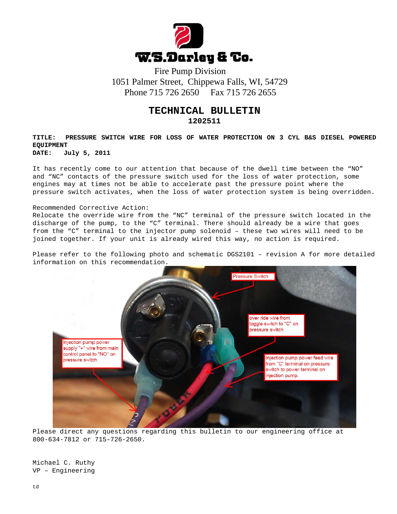

 1051 Palmer Street, Chippewa Falls, WI, 54729 Phone 715 726 2650 Fax 715 726 2655

## **TECHNICAL BULLETIN**

**1202511**

**TITLE: PRESSURE SWITCH WIRE FOR LOSS OF WATER PROTECTION ON 3 CYL B&S DIESEL POWERED EQUIPMENT**

**DATE: July 5, 2011**

It has recently come to our attention that because of the dwell time between the "NO" and "NC" contacts of the pressure switch used for the loss of water protection, some engines may at times not be able to accelerate past the pressure point where the pressure switch activates, when the loss of water protection system is being overridden.

## Recommended Corrective Action:

Relocate the override wire from the "NC" terminal of the pressure switch located in the discharge of the pump, to the "C" terminal. There should already be a wire that goes from the "C" terminal to the injector pump solenoid – these two wires will need to be joined together. If your unit is already wired this way, no action is required.

Please refer to the following photo and schematic DGS2101 – revision A for more detailed information on this recommendation.



Please direct any questions regarding this bulletin to our engineering office at 800-634-7812 or 715-726-2650.

Michael C. Ruthy VP – Engineering